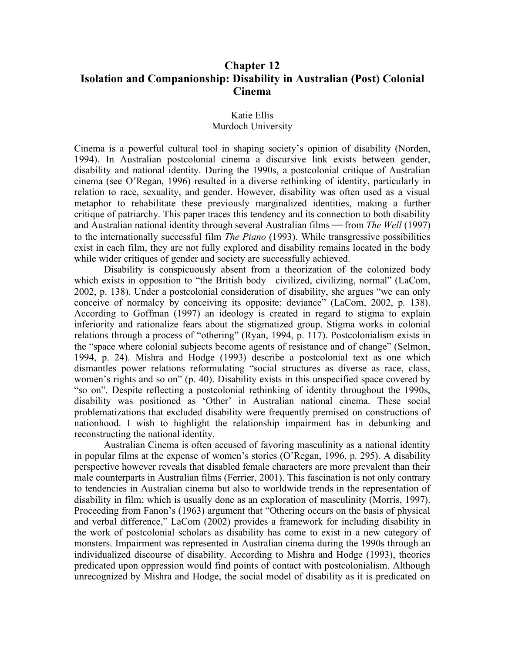## **Chapter 12 Isolation and Companionship: Disability in Australian (Post) Colonial Cinema**

## Katie Ellis

## Murdoch University

Cinema is a powerful cultural tool in shaping society's opinion of disability (Norden, 1994). In Australian postcolonial cinema a discursive link exists between gender, disability and national identity. During the 1990s, a postcolonial critique of Australian cinema (see O'Regan, 1996) resulted in a diverse rethinking of identity, particularly in relation to race, sexuality, and gender. However, disability was often used as a visual metaphor to rehabilitate these previously marginalized identities, making a further critique of patriarchy. This paper traces this tendency and its connection to both disability and Australian national identity through several Australian films – from *The Well* (1997) to the internationally successful film *The Piano* (1993). While transgressive possibilities exist in each film, they are not fully explored and disability remains located in the body while wider critiques of gender and society are successfully achieved.

Disability is conspicuously absent from a theorization of the colonized body which exists in opposition to "the British body—civilized, civilizing, normal" (LaCom, 2002, p. 138). Under a postcolonial consideration of disability, she argues "we can only conceive of normalcy by conceiving its opposite: deviance" (LaCom, 2002, p. 138). According to Goffman (1997) an ideology is created in regard to stigma to explain inferiority and rationalize fears about the stigmatized group. Stigma works in colonial relations through a process of "othering" (Ryan, 1994, p. 117). Postcolonialism exists in the "space where colonial subjects become agents of resistance and of change" (Selmon, 1994, p. 24). Mishra and Hodge (1993) describe a postcolonial text as one which dismantles power relations reformulating "social structures as diverse as race, class, women's rights and so on" (p. 40). Disability exists in this unspecified space covered by "so on". Despite reflecting a postcolonial rethinking of identity throughout the 1990s, disability was positioned as 'Other' in Australian national cinema. These social problematizations that excluded disability were frequently premised on constructions of nationhood. I wish to highlight the relationship impairment has in debunking and reconstructing the national identity.

Australian Cinema is often accused of favoring masculinity as a national identity in popular films at the expense of women's stories (O'Regan, 1996, p. 295). A disability perspective however reveals that disabled female characters are more prevalent than their male counterparts in Australian films (Ferrier, 2001). This fascination is not only contrary to tendencies in Australian cinema but also to worldwide trends in the representation of disability in film; which is usually done as an exploration of masculinity (Morris, 1997). Proceeding from Fanon's (1963) argument that "Othering occurs on the basis of physical and verbal difference," LaCom (2002) provides a framework for including disability in the work of postcolonial scholars as disability has come to exist in a new category of monsters. Impairment was represented in Australian cinema during the 1990s through an individualized discourse of disability. According to Mishra and Hodge (1993), theories predicated upon oppression would find points of contact with postcolonialism. Although unrecognized by Mishra and Hodge, the social model of disability as it is predicated on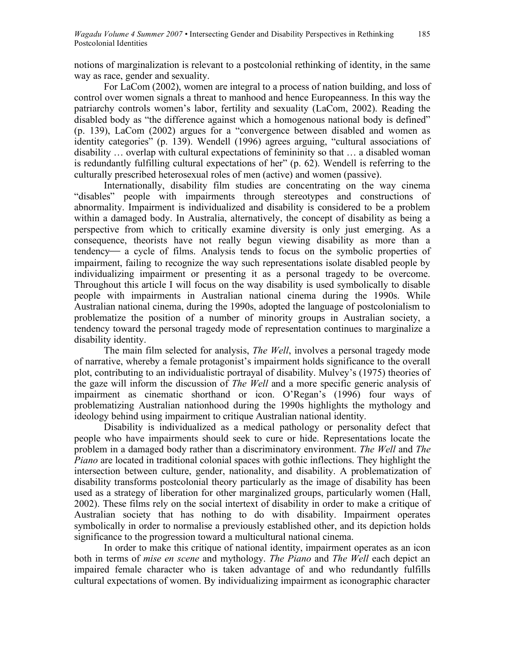notions of marginalization is relevant to a postcolonial rethinking of identity, in the same way as race, gender and sexuality.

For LaCom (2002), women are integral to a process of nation building, and loss of control over women signals a threat to manhood and hence Europeanness. In this way the patriarchy controls women's labor, fertility and sexuality (LaCom, 2002). Reading the disabled body as "the difference against which a homogenous national body is defined" (p. 139), LaCom (2002) argues for a "convergence between disabled and women as identity categories" (p. 139). Wendell (1996) agrees arguing, "cultural associations of disability … overlap with cultural expectations of femininity so that … a disabled woman is redundantly fulfilling cultural expectations of her" (p. 62). Wendell is referring to the culturally prescribed heterosexual roles of men (active) and women (passive).

Internationally, disability film studies are concentrating on the way cinema "disables" people with impairments through stereotypes and constructions of abnormality. Impairment is individualized and disability is considered to be a problem within a damaged body. In Australia, alternatively, the concept of disability as being a perspective from which to critically examine diversity is only just emerging. As a consequence, theorists have not really begun viewing disability as more than a tendency— a cycle of films. Analysis tends to focus on the symbolic properties of impairment, failing to recognize the way such representations isolate disabled people by individualizing impairment or presenting it as a personal tragedy to be overcome. Throughout this article I will focus on the way disability is used symbolically to disable people with impairments in Australian national cinema during the 1990s. While Australian national cinema, during the 1990s, adopted the language of postcolonialism to problematize the position of a number of minority groups in Australian society, a tendency toward the personal tragedy mode of representation continues to marginalize a disability identity.

The main film selected for analysis, *The Well*, involves a personal tragedy mode of narrative, whereby a female protagonist's impairment holds significance to the overall plot, contributing to an individualistic portrayal of disability. Mulvey's (1975) theories of the gaze will inform the discussion of *The Well* and a more specific generic analysis of impairment as cinematic shorthand or icon. O'Regan's (1996) four ways of problematizing Australian nationhood during the 1990s highlights the mythology and ideology behind using impairment to critique Australian national identity.

Disability is individualized as a medical pathology or personality defect that people who have impairments should seek to cure or hide. Representations locate the problem in a damaged body rather than a discriminatory environment. *The Well* and *The Piano* are located in traditional colonial spaces with gothic inflections. They highlight the intersection between culture, gender, nationality, and disability. A problematization of disability transforms postcolonial theory particularly as the image of disability has been used as a strategy of liberation for other marginalized groups, particularly women (Hall, 2002). These films rely on the social intertext of disability in order to make a critique of Australian society that has nothing to do with disability. Impairment operates symbolically in order to normalise a previously established other, and its depiction holds significance to the progression toward a multicultural national cinema.

In order to make this critique of national identity, impairment operates as an icon both in terms of *mise en scene* and mythology. *The Piano* and *The Well* each depict an impaired female character who is taken advantage of and who redundantly fulfills cultural expectations of women. By individualizing impairment as iconographic character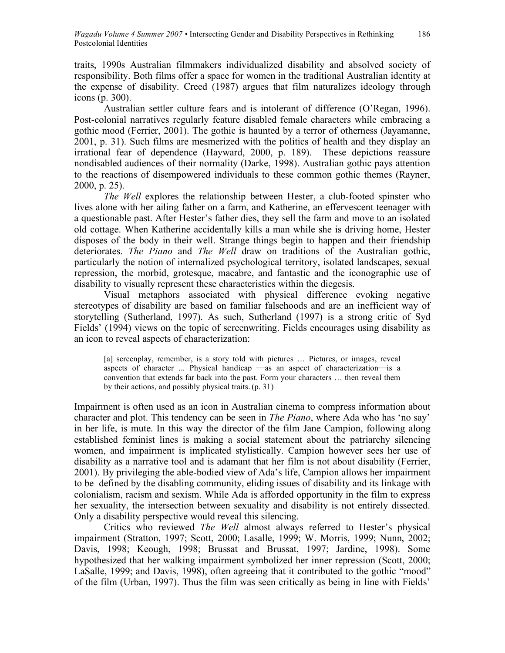traits, 1990s Australian filmmakers individualized disability and absolved society of responsibility. Both films offer a space for women in the traditional Australian identity at the expense of disability. Creed (1987) argues that film naturalizes ideology through icons (p. 300).

Australian settler culture fears and is intolerant of difference (O'Regan, 1996). Post-colonial narratives regularly feature disabled female characters while embracing a gothic mood (Ferrier, 2001). The gothic is haunted by a terror of otherness (Jayamanne, 2001, p. 31). Such films are mesmerized with the politics of health and they display an irrational fear of dependence (Hayward, 2000, p. 189). These depictions reassure nondisabled audiences of their normality (Darke, 1998). Australian gothic pays attention to the reactions of disempowered individuals to these common gothic themes (Rayner, 2000, p. 25).

*The Well* explores the relationship between Hester, a club-footed spinster who lives alone with her ailing father on a farm, and Katherine, an effervescent teenager with a questionable past. After Hester's father dies, they sell the farm and move to an isolated old cottage. When Katherine accidentally kills a man while she is driving home, Hester disposes of the body in their well. Strange things begin to happen and their friendship deteriorates. *The Piano* and *The Well* draw on traditions of the Australian gothic, particularly the notion of internalized psychological territory, isolated landscapes, sexual repression, the morbid, grotesque, macabre, and fantastic and the iconographic use of disability to visually represent these characteristics within the diegesis.

Visual metaphors associated with physical difference evoking negative stereotypes of disability are based on familiar falsehoods and are an inefficient way of storytelling (Sutherland, 1997). As such, Sutherland (1997) is a strong critic of Syd Fields' (1994) views on the topic of screenwriting. Fields encourages using disability as an icon to reveal aspects of characterization:

[a] screenplay, remember, is a story told with pictures … Pictures, or images, reveal aspects of character ... Physical handicap  $\frac{1}{2}$  as an aspect of characterization $\frac{1}{2}$  is a convention that extends far back into the past. Form your characters … then reveal them by their actions, and possibly physical traits.(p. 31)

Impairment is often used as an icon in Australian cinema to compress information about character and plot. This tendency can be seen in *The Piano*, where Ada who has 'no say' in her life, is mute. In this way the director of the film Jane Campion, following along established feminist lines is making a social statement about the patriarchy silencing women, and impairment is implicated stylistically. Campion however sees her use of disability as a narrative tool and is adamant that her film is not about disability (Ferrier, 2001). By privileging the able-bodied view of Ada's life, Campion allows her impairment to be defined by the disabling community, eliding issues of disability and its linkage with colonialism, racism and sexism. While Ada is afforded opportunity in the film to express her sexuality, the intersection between sexuality and disability is not entirely dissected. Only a disability perspective would reveal this silencing.

Critics who reviewed *The Well* almost always referred to Hester's physical impairment (Stratton, 1997; Scott, 2000; Lasalle, 1999; W. Morris, 1999; Nunn, 2002; Davis, 1998; Keough, 1998; Brussat and Brussat, 1997; Jardine, 1998). Some hypothesized that her walking impairment symbolized her inner repression (Scott, 2000; LaSalle, 1999; and Davis, 1998), often agreeing that it contributed to the gothic "mood" of the film (Urban, 1997). Thus the film was seen critically as being in line with Fields'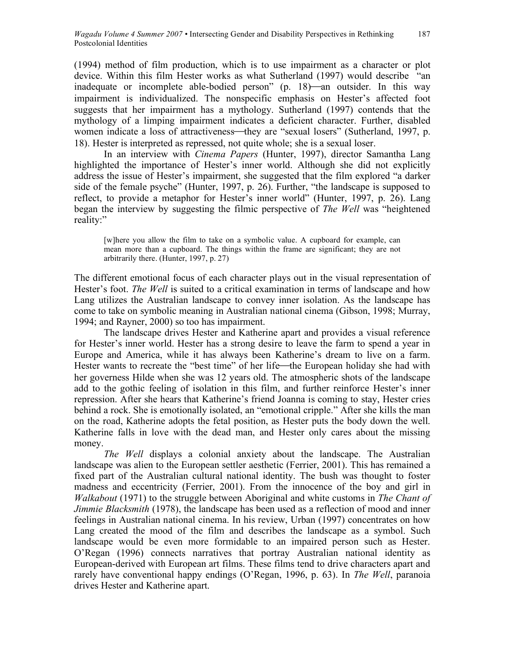(1994) method of film production, which is to use impairment as a character or plot device. Within this film Hester works as what Sutherland (1997) would describe "an inadequate or incomplete able-bodied person" (p. 18)—an outsider. In this way impairment is individualized. The nonspecific emphasis on Hester's affected foot suggests that her impairment has a mythology. Sutherland (1997) contends that the mythology of a limping impairment indicates a deficient character. Further, disabled women indicate a loss of attractiveness—they are "sexual losers" (Sutherland, 1997, p. 18). Hester is interpreted as repressed, not quite whole; she is a sexual loser.

In an interview with *Cinema Papers* (Hunter, 1997), director Samantha Lang highlighted the importance of Hester's inner world. Although she did not explicitly address the issue of Hester's impairment, she suggested that the film explored "a darker side of the female psyche" (Hunter, 1997, p. 26). Further, "the landscape is supposed to reflect, to provide a metaphor for Hester's inner world" (Hunter, 1997, p. 26). Lang began the interview by suggesting the filmic perspective of *The Well* was "heightened reality:"

[w]here you allow the film to take on a symbolic value. A cupboard for example, can mean more than a cupboard. The things within the frame are significant; they are not arbitrarily there. (Hunter, 1997, p. 27)

The different emotional focus of each character plays out in the visual representation of Hester's foot. *The Well* is suited to a critical examination in terms of landscape and how Lang utilizes the Australian landscape to convey inner isolation. As the landscape has come to take on symbolic meaning in Australian national cinema (Gibson, 1998; Murray, 1994; and Rayner, 2000) so too has impairment.

The landscape drives Hester and Katherine apart and provides a visual reference for Hester's inner world. Hester has a strong desire to leave the farm to spend a year in Europe and America, while it has always been Katherine's dream to live on a farm. Hester wants to recreate the "best time" of her life—the European holiday she had with her governess Hilde when she was 12 years old. The atmospheric shots of the landscape add to the gothic feeling of isolation in this film, and further reinforce Hester's inner repression. After she hears that Katherine's friend Joanna is coming to stay, Hester cries behind a rock. She is emotionally isolated, an "emotional cripple." After she kills the man on the road, Katherine adopts the fetal position, as Hester puts the body down the well. Katherine falls in love with the dead man, and Hester only cares about the missing money.

*The Well* displays a colonial anxiety about the landscape. The Australian landscape was alien to the European settler aesthetic (Ferrier, 2001). This has remained a fixed part of the Australian cultural national identity. The bush was thought to foster madness and eccentricity (Ferrier, 2001). From the innocence of the boy and girl in *Walkabout* (1971) to the struggle between Aboriginal and white customs in *The Chant of Jimmie Blacksmith* (1978), the landscape has been used as a reflection of mood and inner feelings in Australian national cinema. In his review, Urban (1997) concentrates on how Lang created the mood of the film and describes the landscape as a symbol. Such landscape would be even more formidable to an impaired person such as Hester. O'Regan (1996) connects narratives that portray Australian national identity as European-derived with European art films. These films tend to drive characters apart and rarely have conventional happy endings (O'Regan, 1996, p. 63). In *The Well*, paranoia drives Hester and Katherine apart.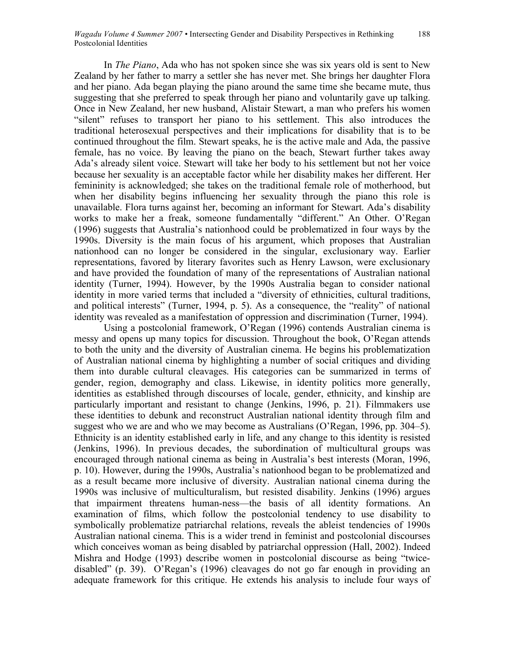In *The Piano*, Ada who has not spoken since she was six years old is sent to New Zealand by her father to marry a settler she has never met. She brings her daughter Flora and her piano. Ada began playing the piano around the same time she became mute, thus suggesting that she preferred to speak through her piano and voluntarily gave up talking. Once in New Zealand, her new husband, Alistair Stewart, a man who prefers his women "silent" refuses to transport her piano to his settlement. This also introduces the traditional heterosexual perspectives and their implications for disability that is to be continued throughout the film. Stewart speaks, he is the active male and Ada, the passive female, has no voice. By leaving the piano on the beach, Stewart further takes away Ada's already silent voice. Stewart will take her body to his settlement but not her voice because her sexuality is an acceptable factor while her disability makes her different. Her femininity is acknowledged; she takes on the traditional female role of motherhood, but when her disability begins influencing her sexuality through the piano this role is unavailable. Flora turns against her, becoming an informant for Stewart. Ada's disability works to make her a freak, someone fundamentally "different." An Other. O'Regan (1996) suggests that Australia's nationhood could be problematized in four ways by the 1990s. Diversity is the main focus of his argument, which proposes that Australian nationhood can no longer be considered in the singular, exclusionary way. Earlier representations, favored by literary favorites such as Henry Lawson, were exclusionary and have provided the foundation of many of the representations of Australian national identity (Turner, 1994). However, by the 1990s Australia began to consider national identity in more varied terms that included a "diversity of ethnicities, cultural traditions, and political interests" (Turner, 1994, p. 5). As a consequence, the "reality" of national identity was revealed as a manifestation of oppression and discrimination (Turner, 1994).

Using a postcolonial framework, O'Regan (1996) contends Australian cinema is messy and opens up many topics for discussion. Throughout the book, O'Regan attends to both the unity and the diversity of Australian cinema. He begins his problematization of Australian national cinema by highlighting a number of social critiques and dividing them into durable cultural cleavages. His categories can be summarized in terms of gender, region, demography and class. Likewise, in identity politics more generally, identities as established through discourses of locale, gender, ethnicity, and kinship are particularly important and resistant to change (Jenkins, 1996, p. 21). Filmmakers use these identities to debunk and reconstruct Australian national identity through film and suggest who we are and who we may become as Australians (O'Regan, 1996, pp. 304–5). Ethnicity is an identity established early in life, and any change to this identity is resisted (Jenkins, 1996). In previous decades, the subordination of multicultural groups was encouraged through national cinema as being in Australia's best interests (Moran, 1996, p. 10). However, during the 1990s, Australia's nationhood began to be problematized and as a result became more inclusive of diversity. Australian national cinema during the 1990s was inclusive of multiculturalism, but resisted disability. Jenkins (1996) argues that impairment threatens human-ness—the basis of all identity formations. An examination of films, which follow the postcolonial tendency to use disability to symbolically problematize patriarchal relations, reveals the ableist tendencies of 1990s Australian national cinema. This is a wider trend in feminist and postcolonial discourses which conceives woman as being disabled by patriarchal oppression (Hall, 2002). Indeed Mishra and Hodge (1993) describe women in postcolonial discourse as being "twicedisabled" (p. 39). O'Regan's (1996) cleavages do not go far enough in providing an adequate framework for this critique. He extends his analysis to include four ways of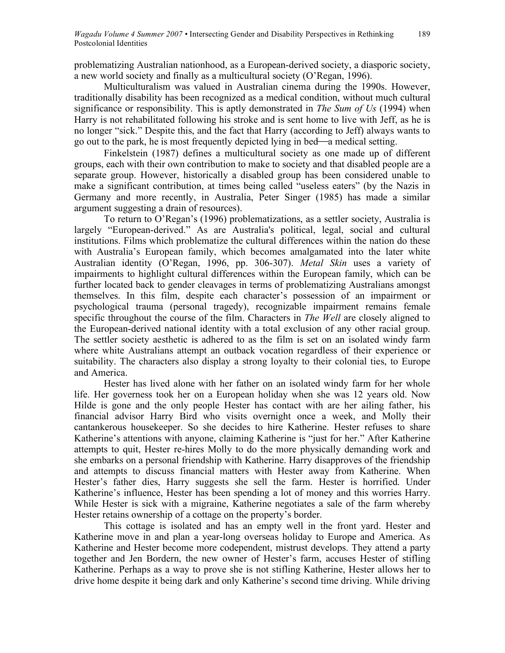problematizing Australian nationhood, as a European-derived society, a diasporic society, a new world society and finally as a multicultural society (O'Regan, 1996).

Multiculturalism was valued in Australian cinema during the 1990s. However, traditionally disability has been recognized as a medical condition, without much cultural significance or responsibility. This is aptly demonstrated in *The Sum of Us* (1994) when Harry is not rehabilitated following his stroke and is sent home to live with Jeff, as he is no longer "sick." Despite this, and the fact that Harry (according to Jeff) always wants to go out to the park, he is most frequently depicted lying in bed—a medical setting.

Finkelstein (1987) defines a multicultural society as one made up of different groups, each with their own contribution to make to society and that disabled people are a separate group. However, historically a disabled group has been considered unable to make a significant contribution, at times being called "useless eaters" (by the Nazis in Germany and more recently, in Australia, Peter Singer (1985) has made a similar argument suggesting a drain of resources).

To return to O'Regan's (1996) problematizations, as a settler society, Australia is largely "European-derived." As are Australia's political, legal, social and cultural institutions. Films which problematize the cultural differences within the nation do these with Australia's European family, which becomes amalgamated into the later white Australian identity (O'Regan, 1996, pp. 306-307). *Metal Skin* uses a variety of impairments to highlight cultural differences within the European family, which can be further located back to gender cleavages in terms of problematizing Australians amongst themselves. In this film, despite each character's possession of an impairment or psychological trauma (personal tragedy), recognizable impairment remains female specific throughout the course of the film. Characters in *The Well* are closely aligned to the European-derived national identity with a total exclusion of any other racial group. The settler society aesthetic is adhered to as the film is set on an isolated windy farm where white Australians attempt an outback vocation regardless of their experience or suitability. The characters also display a strong loyalty to their colonial ties, to Europe and America.

Hester has lived alone with her father on an isolated windy farm for her whole life. Her governess took her on a European holiday when she was 12 years old. Now Hilde is gone and the only people Hester has contact with are her ailing father, his financial advisor Harry Bird who visits overnight once a week, and Molly their cantankerous housekeeper. So she decides to hire Katherine. Hester refuses to share Katherine's attentions with anyone, claiming Katherine is "just for her." After Katherine attempts to quit, Hester re-hires Molly to do the more physically demanding work and she embarks on a personal friendship with Katherine. Harry disapproves of the friendship and attempts to discuss financial matters with Hester away from Katherine. When Hester's father dies, Harry suggests she sell the farm. Hester is horrified. Under Katherine's influence, Hester has been spending a lot of money and this worries Harry. While Hester is sick with a migraine, Katherine negotiates a sale of the farm whereby Hester retains ownership of a cottage on the property's border.

This cottage is isolated and has an empty well in the front yard. Hester and Katherine move in and plan a year-long overseas holiday to Europe and America. As Katherine and Hester become more codependent, mistrust develops. They attend a party together and Jen Bordern, the new owner of Hester's farm, accuses Hester of stifling Katherine. Perhaps as a way to prove she is not stifling Katherine, Hester allows her to drive home despite it being dark and only Katherine's second time driving. While driving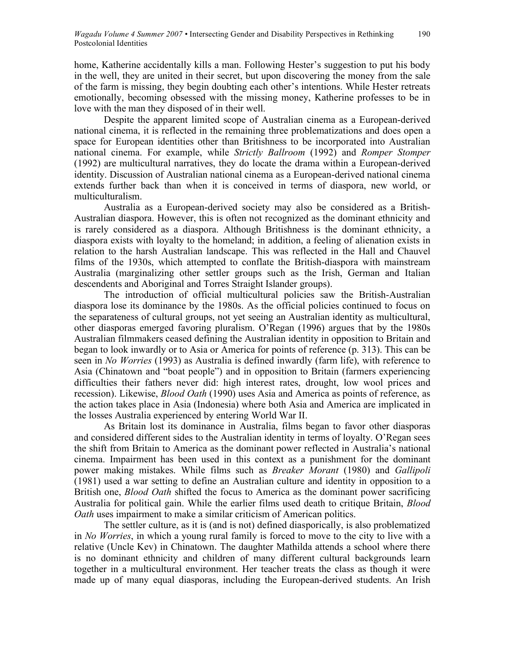home, Katherine accidentally kills a man. Following Hester's suggestion to put his body in the well, they are united in their secret, but upon discovering the money from the sale of the farm is missing, they begin doubting each other's intentions. While Hester retreats emotionally, becoming obsessed with the missing money, Katherine professes to be in love with the man they disposed of in their well.

Despite the apparent limited scope of Australian cinema as a European-derived national cinema, it is reflected in the remaining three problematizations and does open a space for European identities other than Britishness to be incorporated into Australian national cinema. For example, while *Strictly Ballroom* (1992) and *Romper Stomper* (1992) are multicultural narratives, they do locate the drama within a European-derived identity. Discussion of Australian national cinema as a European-derived national cinema extends further back than when it is conceived in terms of diaspora, new world, or multiculturalism.

Australia as a European-derived society may also be considered as a British-Australian diaspora. However, this is often not recognized as the dominant ethnicity and is rarely considered as a diaspora. Although Britishness is the dominant ethnicity, a diaspora exists with loyalty to the homeland; in addition, a feeling of alienation exists in relation to the harsh Australian landscape. This was reflected in the Hall and Chauvel films of the 1930s, which attempted to conflate the British-diaspora with mainstream Australia (marginalizing other settler groups such as the Irish, German and Italian descendents and Aboriginal and Torres Straight Islander groups).

The introduction of official multicultural policies saw the British-Australian diaspora lose its dominance by the 1980s. As the official policies continued to focus on the separateness of cultural groups, not yet seeing an Australian identity as multicultural, other diasporas emerged favoring pluralism. O'Regan (1996) argues that by the 1980s Australian filmmakers ceased defining the Australian identity in opposition to Britain and began to look inwardly or to Asia or America for points of reference (p. 313). This can be seen in *No Worries* (1993) as Australia is defined inwardly (farm life), with reference to Asia (Chinatown and "boat people") and in opposition to Britain (farmers experiencing difficulties their fathers never did: high interest rates, drought, low wool prices and recession). Likewise, *Blood Oath* (1990) uses Asia and America as points of reference, as the action takes place in Asia (Indonesia) where both Asia and America are implicated in the losses Australia experienced by entering World War II.

As Britain lost its dominance in Australia, films began to favor other diasporas and considered different sides to the Australian identity in terms of loyalty. O'Regan sees the shift from Britain to America as the dominant power reflected in Australia's national cinema. Impairment has been used in this context as a punishment for the dominant power making mistakes. While films such as *Breaker Morant* (1980) and *Gallipoli* (1981) used a war setting to define an Australian culture and identity in opposition to a British one, *Blood Oath* shifted the focus to America as the dominant power sacrificing Australia for political gain. While the earlier films used death to critique Britain, *Blood Oath* uses impairment to make a similar criticism of American politics.

The settler culture, as it is (and is not) defined diasporically, is also problematized in *No Worries*, in which a young rural family is forced to move to the city to live with a relative (Uncle Kev) in Chinatown. The daughter Mathilda attends a school where there is no dominant ethnicity and children of many different cultural backgrounds learn together in a multicultural environment. Her teacher treats the class as though it were made up of many equal diasporas, including the European-derived students. An Irish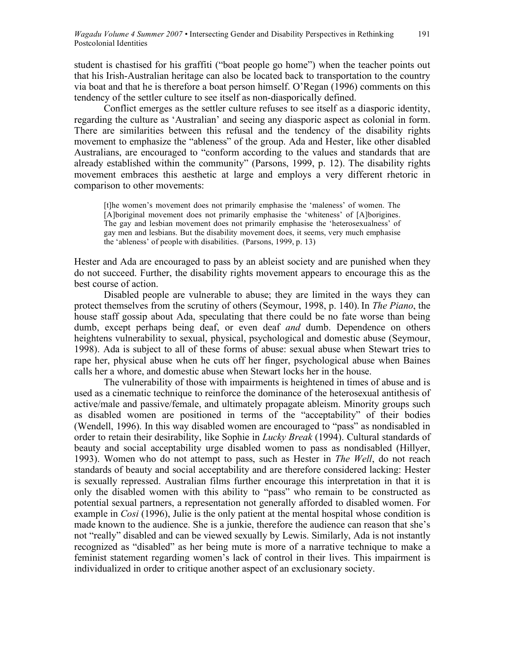student is chastised for his graffiti ("boat people go home") when the teacher points out that his Irish-Australian heritage can also be located back to transportation to the country via boat and that he is therefore a boat person himself. O'Regan (1996) comments on this tendency of the settler culture to see itself as non-diasporically defined.

Conflict emerges as the settler culture refuses to see itself as a diasporic identity, regarding the culture as 'Australian' and seeing any diasporic aspect as colonial in form. There are similarities between this refusal and the tendency of the disability rights movement to emphasize the "ableness" of the group. Ada and Hester, like other disabled Australians, are encouraged to "conform according to the values and standards that are already established within the community" (Parsons, 1999, p. 12). The disability rights movement embraces this aesthetic at large and employs a very different rhetoric in comparison to other movements:

[t]he women's movement does not primarily emphasise the 'maleness' of women. The [A]boriginal movement does not primarily emphasise the 'whiteness' of [A]borigines. The gay and lesbian movement does not primarily emphasise the 'heterosexualness' of gay men and lesbians. But the disability movement does, it seems, very much emphasise the 'ableness' of people with disabilities. (Parsons, 1999, p. 13)

Hester and Ada are encouraged to pass by an ableist society and are punished when they do not succeed. Further, the disability rights movement appears to encourage this as the best course of action.

Disabled people are vulnerable to abuse; they are limited in the ways they can protect themselves from the scrutiny of others (Seymour, 1998, p. 140). In *The Piano*, the house staff gossip about Ada, speculating that there could be no fate worse than being dumb, except perhaps being deaf, or even deaf *and* dumb. Dependence on others heightens vulnerability to sexual, physical, psychological and domestic abuse (Seymour, 1998). Ada is subject to all of these forms of abuse: sexual abuse when Stewart tries to rape her, physical abuse when he cuts off her finger, psychological abuse when Baines calls her a whore, and domestic abuse when Stewart locks her in the house.

The vulnerability of those with impairments is heightened in times of abuse and is used as a cinematic technique to reinforce the dominance of the heterosexual antithesis of active/male and passive/female, and ultimately propagate ableism. Minority groups such as disabled women are positioned in terms of the "acceptability" of their bodies (Wendell, 1996). In this way disabled women are encouraged to "pass" as nondisabled in order to retain their desirability, like Sophie in *Lucky Break* (1994). Cultural standards of beauty and social acceptability urge disabled women to pass as nondisabled (Hillyer, 1993). Women who do not attempt to pass, such as Hester in *The Well*, do not reach standards of beauty and social acceptability and are therefore considered lacking: Hester is sexually repressed. Australian films further encourage this interpretation in that it is only the disabled women with this ability to "pass" who remain to be constructed as potential sexual partners, a representation not generally afforded to disabled women. For example in *Cosi* (1996), Julie is the only patient at the mental hospital whose condition is made known to the audience. She is a junkie, therefore the audience can reason that she's not "really" disabled and can be viewed sexually by Lewis. Similarly, Ada is not instantly recognized as "disabled" as her being mute is more of a narrative technique to make a feminist statement regarding women's lack of control in their lives. This impairment is individualized in order to critique another aspect of an exclusionary society.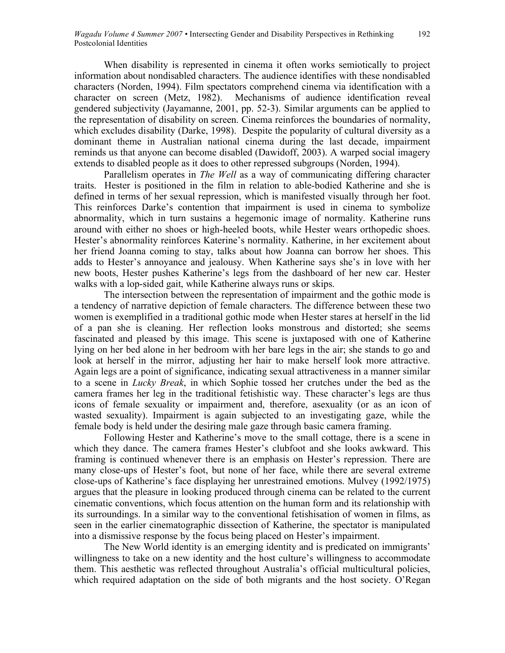When disability is represented in cinema it often works semiotically to project information about nondisabled characters. The audience identifies with these nondisabled characters (Norden, 1994). Film spectators comprehend cinema via identification with a character on screen (Metz, 1982). Mechanisms of audience identification reveal gendered subjectivity (Jayamanne, 2001, pp. 52-3). Similar arguments can be applied to the representation of disability on screen. Cinema reinforces the boundaries of normality, which excludes disability (Darke, 1998). Despite the popularity of cultural diversity as a dominant theme in Australian national cinema during the last decade, impairment reminds us that anyone can become disabled (Dawidoff, 2003). A warped social imagery extends to disabled people as it does to other repressed subgroups (Norden, 1994).

Parallelism operates in *The Well* as a way of communicating differing character traits. Hester is positioned in the film in relation to able-bodied Katherine and she is defined in terms of her sexual repression, which is manifested visually through her foot. This reinforces Darke's contention that impairment is used in cinema to symbolize abnormality, which in turn sustains a hegemonic image of normality. Katherine runs around with either no shoes or high-heeled boots, while Hester wears orthopedic shoes. Hester's abnormality reinforces Katerine's normality. Katherine, in her excitement about her friend Joanna coming to stay, talks about how Joanna can borrow her shoes. This adds to Hester's annoyance and jealousy. When Katherine says she's in love with her new boots, Hester pushes Katherine's legs from the dashboard of her new car. Hester walks with a lop-sided gait, while Katherine always runs or skips.

The intersection between the representation of impairment and the gothic mode is a tendency of narrative depiction of female characters. The difference between these two women is exemplified in a traditional gothic mode when Hester stares at herself in the lid of a pan she is cleaning. Her reflection looks monstrous and distorted; she seems fascinated and pleased by this image. This scene is juxtaposed with one of Katherine lying on her bed alone in her bedroom with her bare legs in the air; she stands to go and look at herself in the mirror, adjusting her hair to make herself look more attractive. Again legs are a point of significance, indicating sexual attractiveness in a manner similar to a scene in *Lucky Break*, in which Sophie tossed her crutches under the bed as the camera frames her leg in the traditional fetishistic way. These character's legs are thus icons of female sexuality or impairment and, therefore, asexuality (or as an icon of wasted sexuality). Impairment is again subjected to an investigating gaze, while the female body is held under the desiring male gaze through basic camera framing.

Following Hester and Katherine's move to the small cottage, there is a scene in which they dance. The camera frames Hester's clubfoot and she looks awkward. This framing is continued whenever there is an emphasis on Hester's repression. There are many close-ups of Hester's foot, but none of her face, while there are several extreme close-ups of Katherine's face displaying her unrestrained emotions. Mulvey (1992/1975) argues that the pleasure in looking produced through cinema can be related to the current cinematic conventions, which focus attention on the human form and its relationship with its surroundings. In a similar way to the conventional fetishisation of women in films, as seen in the earlier cinematographic dissection of Katherine, the spectator is manipulated into a dismissive response by the focus being placed on Hester's impairment.

The New World identity is an emerging identity and is predicated on immigrants' willingness to take on a new identity and the host culture's willingness to accommodate them. This aesthetic was reflected throughout Australia's official multicultural policies, which required adaptation on the side of both migrants and the host society. O'Regan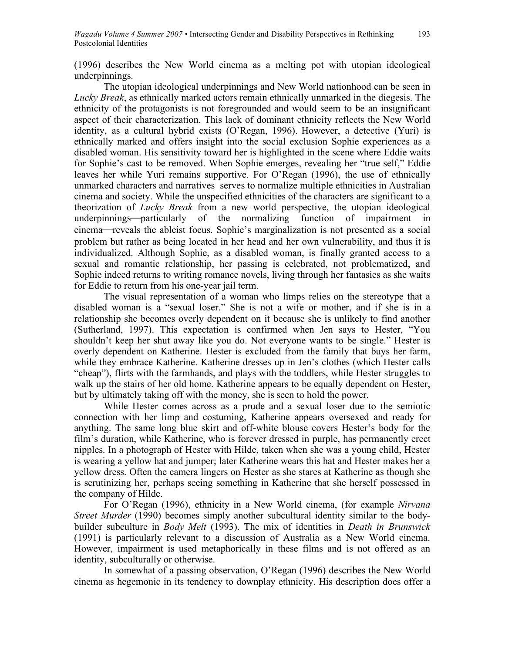(1996) describes the New World cinema as a melting pot with utopian ideological underpinnings.

The utopian ideological underpinnings and New World nationhood can be seen in *Lucky Break*, as ethnically marked actors remain ethnically unmarked in the diegesis. The ethnicity of the protagonists is not foregrounded and would seem to be an insignificant aspect of their characterization. This lack of dominant ethnicity reflects the New World identity, as a cultural hybrid exists (O'Regan, 1996). However, a detective (Yuri) is ethnically marked and offers insight into the social exclusion Sophie experiences as a disabled woman. His sensitivity toward her is highlighted in the scene where Eddie waits for Sophie's cast to be removed. When Sophie emerges, revealing her "true self," Eddie leaves her while Yuri remains supportive. For O'Regan (1996), the use of ethnically unmarked characters and narratives serves to normalize multiple ethnicities in Australian cinema and society. While the unspecified ethnicities of the characters are significant to a theorization of *Lucky Break* from a new world perspective, the utopian ideological underpinnings—particularly of the normalizing function of impairment in cinema—reveals the ableist focus. Sophie's marginalization is not presented as a social problem but rather as being located in her head and her own vulnerability, and thus it is individualized. Although Sophie, as a disabled woman, is finally granted access to a sexual and romantic relationship, her passing is celebrated, not problematized, and Sophie indeed returns to writing romance novels, living through her fantasies as she waits for Eddie to return from his one-year jail term.

The visual representation of a woman who limps relies on the stereotype that a disabled woman is a "sexual loser." She is not a wife or mother, and if she is in a relationship she becomes overly dependent on it because she is unlikely to find another (Sutherland, 1997). This expectation is confirmed when Jen says to Hester, "You shouldn't keep her shut away like you do. Not everyone wants to be single." Hester is overly dependent on Katherine. Hester is excluded from the family that buys her farm, while they embrace Katherine. Katherine dresses up in Jen's clothes (which Hester calls "cheap"), flirts with the farmhands, and plays with the toddlers, while Hester struggles to walk up the stairs of her old home. Katherine appears to be equally dependent on Hester, but by ultimately taking off with the money, she is seen to hold the power.

While Hester comes across as a prude and a sexual loser due to the semiotic connection with her limp and costuming, Katherine appears oversexed and ready for anything. The same long blue skirt and off-white blouse covers Hester's body for the film's duration, while Katherine, who is forever dressed in purple, has permanently erect nipples. In a photograph of Hester with Hilde, taken when she was a young child, Hester is wearing a yellow hat and jumper; later Katherine wears this hat and Hester makes her a yellow dress. Often the camera lingers on Hester as she stares at Katherine as though she is scrutinizing her, perhaps seeing something in Katherine that she herself possessed in the company of Hilde.

For O'Regan (1996), ethnicity in a New World cinema, (for example *Nirvana Street Murder* (1990) becomes simply another subcultural identity similar to the bodybuilder subculture in *Body Melt* (1993). The mix of identities in *Death in Brunswick* (1991) is particularly relevant to a discussion of Australia as a New World cinema. However, impairment is used metaphorically in these films and is not offered as an identity, subculturally or otherwise.

In somewhat of a passing observation, O'Regan (1996) describes the New World cinema as hegemonic in its tendency to downplay ethnicity. His description does offer a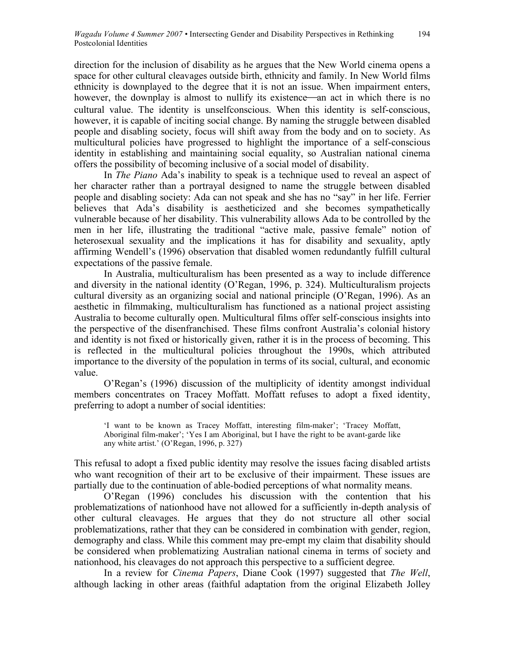direction for the inclusion of disability as he argues that the New World cinema opens a space for other cultural cleavages outside birth, ethnicity and family. In New World films ethnicity is downplayed to the degree that it is not an issue. When impairment enters, however, the downplay is almost to nullify its existence—an act in which there is no cultural value. The identity is unselfconscious. When this identity is self-conscious, however, it is capable of inciting social change. By naming the struggle between disabled people and disabling society, focus will shift away from the body and on to society. As multicultural policies have progressed to highlight the importance of a self-conscious identity in establishing and maintaining social equality, so Australian national cinema offers the possibility of becoming inclusive of a social model of disability.

In *The Piano* Ada's inability to speak is a technique used to reveal an aspect of her character rather than a portrayal designed to name the struggle between disabled people and disabling society: Ada can not speak and she has no "say" in her life. Ferrier believes that Ada's disability is aestheticized and she becomes sympathetically vulnerable because of her disability. This vulnerability allows Ada to be controlled by the men in her life, illustrating the traditional "active male, passive female" notion of heterosexual sexuality and the implications it has for disability and sexuality, aptly affirming Wendell's (1996) observation that disabled women redundantly fulfill cultural expectations of the passive female.

In Australia, multiculturalism has been presented as a way to include difference and diversity in the national identity (O'Regan, 1996, p. 324). Multiculturalism projects cultural diversity as an organizing social and national principle (O'Regan, 1996). As an aesthetic in filmmaking, multiculturalism has functioned as a national project assisting Australia to become culturally open. Multicultural films offer self-conscious insights into the perspective of the disenfranchised. These films confront Australia's colonial history and identity is not fixed or historically given, rather it is in the process of becoming. This is reflected in the multicultural policies throughout the 1990s, which attributed importance to the diversity of the population in terms of its social, cultural, and economic value.

O'Regan's (1996) discussion of the multiplicity of identity amongst individual members concentrates on Tracey Moffatt. Moffatt refuses to adopt a fixed identity, preferring to adopt a number of social identities:

'I want to be known as Tracey Moffatt, interesting film-maker'; 'Tracey Moffatt, Aboriginal film-maker'; 'Yes I am Aboriginal, but I have the right to be avant-garde like any white artist.' (O'Regan, 1996, p. 327)

This refusal to adopt a fixed public identity may resolve the issues facing disabled artists who want recognition of their art to be exclusive of their impairment. These issues are partially due to the continuation of able-bodied perceptions of what normality means.

O'Regan (1996) concludes his discussion with the contention that his problematizations of nationhood have not allowed for a sufficiently in-depth analysis of other cultural cleavages. He argues that they do not structure all other social problematizations, rather that they can be considered in combination with gender, region, demography and class. While this comment may pre-empt my claim that disability should be considered when problematizing Australian national cinema in terms of society and nationhood, his cleavages do not approach this perspective to a sufficient degree.

In a review for *Cinema Papers*, Diane Cook (1997) suggested that *The Well*, although lacking in other areas (faithful adaptation from the original Elizabeth Jolley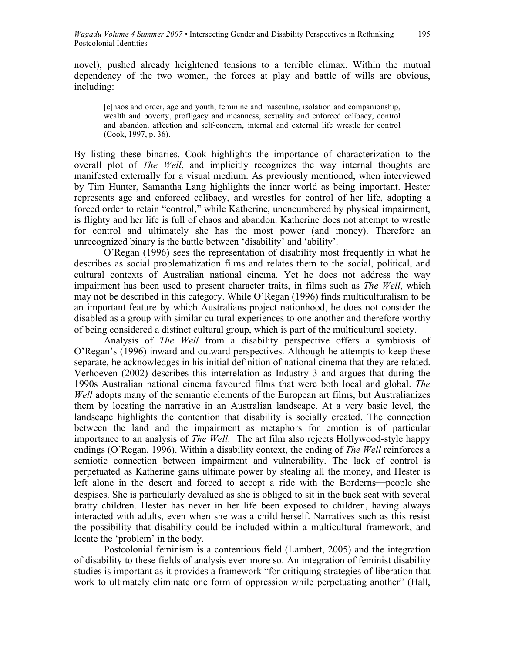novel), pushed already heightened tensions to a terrible climax. Within the mutual dependency of the two women, the forces at play and battle of wills are obvious, including:

[c]haos and order, age and youth, feminine and masculine, isolation and companionship, wealth and poverty, profligacy and meanness, sexuality and enforced celibacy, control and abandon, affection and self-concern, internal and external life wrestle for control (Cook, 1997, p. 36).

By listing these binaries, Cook highlights the importance of characterization to the overall plot of *The Well*, and implicitly recognizes the way internal thoughts are manifested externally for a visual medium. As previously mentioned, when interviewed by Tim Hunter, Samantha Lang highlights the inner world as being important. Hester represents age and enforced celibacy, and wrestles for control of her life, adopting a forced order to retain "control," while Katherine, unencumbered by physical impairment, is flighty and her life is full of chaos and abandon. Katherine does not attempt to wrestle for control and ultimately she has the most power (and money). Therefore an unrecognized binary is the battle between 'disability' and 'ability'.

O'Regan (1996) sees the representation of disability most frequently in what he describes as social problematization films and relates them to the social, political, and cultural contexts of Australian national cinema. Yet he does not address the way impairment has been used to present character traits, in films such as *The Well*, which may not be described in this category. While O'Regan (1996) finds multiculturalism to be an important feature by which Australians project nationhood, he does not consider the disabled as a group with similar cultural experiences to one another and therefore worthy of being considered a distinct cultural group, which is part of the multicultural society.

Analysis of *The Well* from a disability perspective offers a symbiosis of O'Regan's (1996) inward and outward perspectives. Although he attempts to keep these separate, he acknowledges in his initial definition of national cinema that they are related. Verhoeven (2002) describes this interrelation as Industry 3 and argues that during the 1990s Australian national cinema favoured films that were both local and global. *The Well* adopts many of the semantic elements of the European art films, but Australianizes them by locating the narrative in an Australian landscape. At a very basic level, the landscape highlights the contention that disability is socially created. The connection between the land and the impairment as metaphors for emotion is of particular importance to an analysis of *The Well*. The art film also rejects Hollywood-style happy endings (O'Regan, 1996). Within a disability context, the ending of *The Well* reinforces a semiotic connection between impairment and vulnerability. The lack of control is perpetuated as Katherine gains ultimate power by stealing all the money, and Hester is left alone in the desert and forced to accept a ride with the Borderns-people she despises. She is particularly devalued as she is obliged to sit in the back seat with several bratty children. Hester has never in her life been exposed to children, having always interacted with adults, even when she was a child herself. Narratives such as this resist the possibility that disability could be included within a multicultural framework, and locate the 'problem' in the body.

Postcolonial feminism is a contentious field (Lambert, 2005) and the integration of disability to these fields of analysis even more so. An integration of feminist disability studies is important as it provides a framework "for critiquing strategies of liberation that work to ultimately eliminate one form of oppression while perpetuating another" (Hall,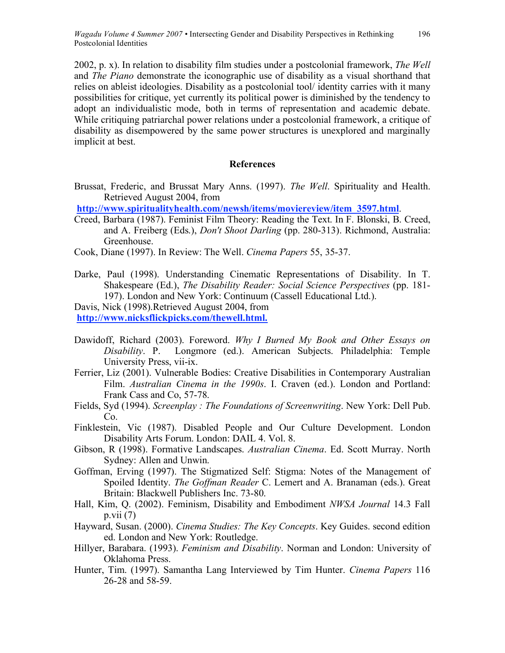2002, p. x). In relation to disability film studies under a postcolonial framework, *The Well* and *The Piano* demonstrate the iconographic use of disability as a visual shorthand that relies on ableist ideologies. Disability as a postcolonial tool/ identity carries with it many possibilities for critique, yet currently its political power is diminished by the tendency to adopt an individualistic mode, both in terms of representation and academic debate. While critiquing patriarchal power relations under a postcolonial framework, a critique of disability as disempowered by the same power structures is unexplored and marginally implicit at best.

## **References**

Brussat, Frederic, and Brussat Mary Anns. (1997). *The Well*. Spirituality and Health. Retrieved August 2004, from

**http://www.spiritualityhealth.com/newsh/items/moviereview/item\_3597.html**.

- Creed, Barbara (1987). Feminist Film Theory: Reading the Text. In F. Blonski, B. Creed, and A. Freiberg (Eds.), *Don't Shoot Darling* (pp. 280-313). Richmond, Australia: Greenhouse.
- Cook, Diane (1997). In Review: The Well. *Cinema Papers* 55, 35-37.
- Darke, Paul (1998). Understanding Cinematic Representations of Disability. In T. Shakespeare (Ed.), *The Disability Reader: Social Science Perspectives* (pp. 181- 197). London and New York: Continuum (Cassell Educational Ltd.).

Davis, Nick (1998).Retrieved August 2004, from **http://www.nicksflickpicks.com/thewell.html.**

- Dawidoff, Richard (2003). Foreword. *Why I Burned My Book and Other Essays on Disability*. P. Longmore (ed.). American Subjects. Philadelphia: Temple University Press, vii-ix.
- Ferrier, Liz (2001). Vulnerable Bodies: Creative Disabilities in Contemporary Australian Film. *Australian Cinema in the 1990s*. I. Craven (ed.). London and Portland: Frank Cass and Co, 57-78.
- Fields, Syd (1994). *Screenplay : The Foundations of Screenwriting*. New York: Dell Pub. Co.
- Finklestein, Vic (1987). Disabled People and Our Culture Development. London Disability Arts Forum. London: DAIL 4. Vol. 8.
- Gibson, R (1998). Formative Landscapes. *Australian Cinema*. Ed. Scott Murray. North Sydney: Allen and Unwin.
- Goffman, Erving (1997). The Stigmatized Self: Stigma: Notes of the Management of Spoiled Identity. *The Goffman Reader* C. Lemert and A. Branaman (eds.). Great Britain: Blackwell Publishers Inc. 73-80.
- Hall, Kim, Q. (2002). Feminism, Disability and Embodiment *NWSA Journal* 14.3 Fall p.vii (7)
- Hayward, Susan. (2000). *Cinema Studies: The Key Concepts*. Key Guides. second edition ed. London and New York: Routledge.
- Hillyer, Barabara. (1993). *Feminism and Disability*. Norman and London: University of Oklahoma Press.
- Hunter, Tim. (1997). Samantha Lang Interviewed by Tim Hunter. *Cinema Papers* 116 26-28 and 58-59.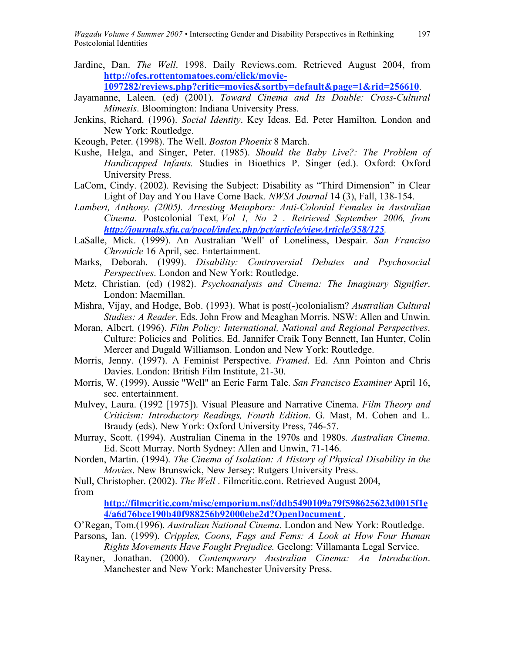Jardine, Dan. *The Well*. 1998. Daily Reviews.com. Retrieved August 2004, from **http://ofcs.rottentomatoes.com/click/movie-**

**1097282/reviews.php?critic=movies&sortby=default&page=1&rid=256610**.

- Jayamanne, Laleen. (ed) (2001). *Toward Cinema and Its Double: Cross-Cultural Mimesis*. Bloomington: Indiana University Press.
- Jenkins, Richard. (1996). *Social Identity*. Key Ideas. Ed. Peter Hamilton. London and New York: Routledge.
- Keough, Peter. (1998). The Well. *Boston Phoenix* 8 March.
- Kushe, Helga, and Singer, Peter. (1985). *Should the Baby Live?: The Problem of Handicapped Infants.* Studies in Bioethics P. Singer (ed.). Oxford: Oxford University Press.
- LaCom, Cindy. (2002). Revising the Subject: Disability as "Third Dimension" in Clear Light of Day and You Have Come Back. *NWSA Journal* 14 (3), Fall, 138-154.
- *Lambert, Anthony. (2005). Arresting Metaphors: Anti-Colonial Females in Australian Cinema.* Postcolonial Text*, Vol 1, No 2 . Retrieved September 2006, from http://journals.sfu.ca/pocol/index.php/pct/article/viewArticle/358/125.*
- LaSalle, Mick. (1999). An Australian 'Well' of Loneliness, Despair. *San Franciso Chronicle* 16 April, sec. Entertainment.
- Marks, Deborah. (1999). *Disability: Controversial Debates and Psychosocial Perspectives*. London and New York: Routledge.
- Metz, Christian. (ed) (1982). *Psychoanalysis and Cinema: The Imaginary Signifier*. London: Macmillan.
- Mishra, Vijay, and Hodge, Bob. (1993). What is post(-)colonialism? *Australian Cultural Studies: A Reader*. Eds. John Frow and Meaghan Morris. NSW: Allen and Unwin.
- Moran, Albert. (1996). *Film Policy: International, National and Regional Perspectives*. Culture: Policies and Politics. Ed. Jannifer Craik Tony Bennett, Ian Hunter, Colin Mercer and Dugald Williamson. London and New York: Routledge.
- Morris, Jenny. (1997). A Feminist Perspective. *Framed*. Ed. Ann Pointon and Chris Davies. London: British Film Institute, 21-30.
- Morris, W. (1999). Aussie "Well" an Eerie Farm Tale. *San Francisco Examiner* April 16, sec. entertainment.
- Mulvey, Laura. (1992 [1975]). Visual Pleasure and Narrative Cinema. *Film Theory and Criticism: Introductory Readings, Fourth Edition*. G. Mast, M. Cohen and L. Braudy (eds). New York: Oxford University Press, 746-57.
- Murray, Scott. (1994). Australian Cinema in the 1970s and 1980s. *Australian Cinema*. Ed. Scott Murray. North Sydney: Allen and Unwin, 71-146.
- Norden, Martin. (1994). *The Cinema of Isolation: A History of Physical Disability in the Movies*. New Brunswick, New Jersey: Rutgers University Press.
- Null, Christopher. (2002). *The Well* . Filmcritic.com. Retrieved August 2004, from

**http://filmcritic.com/misc/emporium.nsf/ddb5490109a79f598625623d0015f1e 4/a6d76bce190b40f988256b92000ebe2d?OpenDocument** .

- O'Regan, Tom.(1996). *Australian National Cinema*. London and New York: Routledge.
- Parsons, Ian. (1999). *Cripples, Coons, Fags and Fems: A Look at How Four Human Rights Movements Have Fought Prejudice.* Geelong: Villamanta Legal Service.
- Rayner, Jonathan. (2000). *Contemporary Australian Cinema: An Introduction*. Manchester and New York: Manchester University Press.